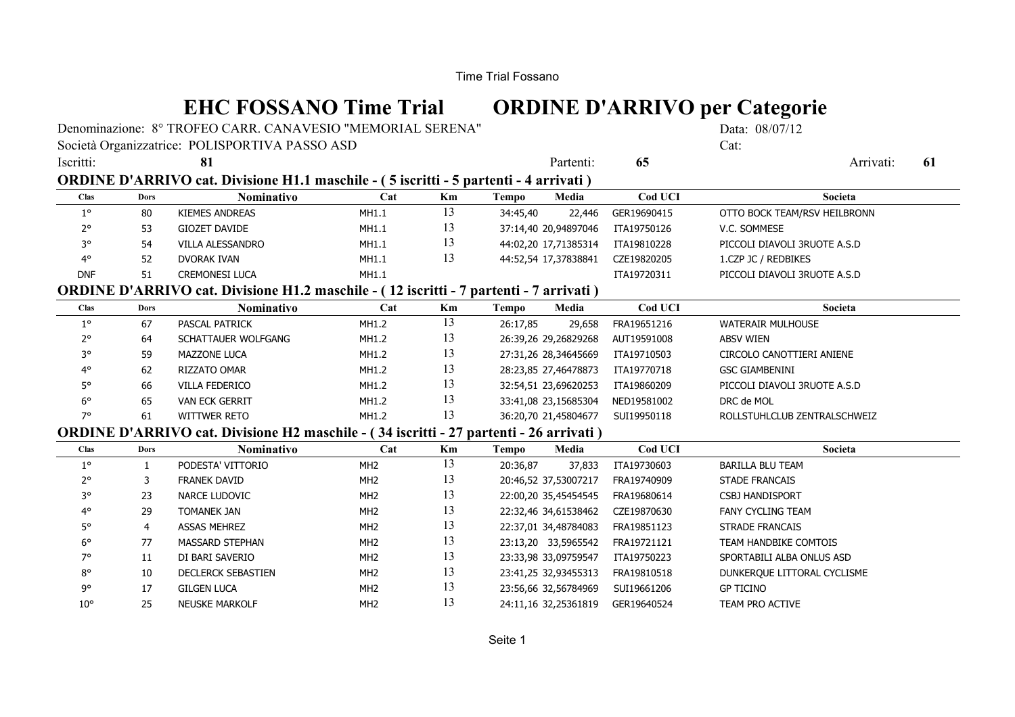# **EHC FOSSANO Time Trial ORDINE D'ARRIVO per Categorie**

Denominazione: 8° TROFEO CARR. CANAVESIO "MEMORIAL SERENA" Data: 08/07/12

### Società Organizzatrice: POLISPORTIVA PASSO ASD Cat:

| Iscritti:                                                                                     |             | 81                                                                                            |                 |    |              | Partenti:            | 65          | Arrivati:<br>61              |  |
|-----------------------------------------------------------------------------------------------|-------------|-----------------------------------------------------------------------------------------------|-----------------|----|--------------|----------------------|-------------|------------------------------|--|
| ORDINE D'ARRIVO cat. Divisione H1.1 maschile - (5 iscritti - 5 partenti - 4 arrivati)         |             |                                                                                               |                 |    |              |                      |             |                              |  |
| Clas                                                                                          | <b>Dors</b> | Nominativo                                                                                    | Cat             | Km | <b>Tempo</b> | Media                | Cod UCI     | Societa                      |  |
| $1^{\circ}$                                                                                   | 80          | <b>KIEMES ANDREAS</b>                                                                         | MH1.1           | 13 | 34:45,40     | 22,446               | GER19690415 | OTTO BOCK TEAM/RSV HEILBRONN |  |
| $2^{\circ}$                                                                                   | 53          | GIOZET DAVIDE                                                                                 | MH1.1           | 13 |              | 37:14,40 20,94897046 | ITA19750126 | V.C. SOMMESE                 |  |
| 3°                                                                                            | 54          | VILLA ALESSANDRO                                                                              | MH1.1           | 13 |              | 44:02,20 17,71385314 | ITA19810228 | PICCOLI DIAVOLI 3RUOTE A.S.D |  |
| 4°                                                                                            | 52          | DVORAK IVAN                                                                                   | MH1.1           | 13 |              | 44:52,54 17,37838841 | CZE19820205 | 1.CZP JC / REDBIKES          |  |
| <b>DNF</b>                                                                                    | 51          | <b>CREMONESI LUCA</b>                                                                         | MH1.1           |    |              |                      | ITA19720311 | PICCOLI DIAVOLI 3RUOTE A.S.D |  |
| <b>ORDINE D'ARRIVO cat. Divisione H1.2 maschile - (12 iscritti - 7 partenti - 7 arrivati)</b> |             |                                                                                               |                 |    |              |                      |             |                              |  |
| <b>Clas</b>                                                                                   | <b>Dors</b> | Nominativo                                                                                    | Cat             | Km | Tempo        | Media                | Cod UCI     | Societa                      |  |
| $1^{\circ}$                                                                                   | 67          | PASCAL PATRICK                                                                                | MH1.2           | 13 | 26:17,85     | 29,658               | FRA19651216 | <b>WATERAIR MULHOUSE</b>     |  |
| $2^{\circ}$                                                                                   | 64          | SCHATTAUER WOLFGANG                                                                           | MH1.2           | 13 |              | 26:39,26 29,26829268 | AUT19591008 | <b>ABSV WIEN</b>             |  |
| 3°                                                                                            | 59          | <b>MAZZONE LUCA</b>                                                                           | MH1.2           | 13 |              | 27:31,26 28,34645669 | ITA19710503 | CIRCOLO CANOTTIERI ANIENE    |  |
| 4°                                                                                            | 62          | RIZZATO OMAR                                                                                  | MH1.2           | 13 |              | 28:23,85 27,46478873 | ITA19770718 | <b>GSC GIAMBENINI</b>        |  |
| 5°                                                                                            | 66          | VILLA FEDERICO                                                                                | MH1.2           | 13 |              | 32:54,51 23,69620253 | ITA19860209 | PICCOLI DIAVOLI 3RUOTE A.S.D |  |
| $6^{\circ}$                                                                                   | 65          | <b>VAN ECK GERRIT</b>                                                                         | MH1.2           | 13 |              | 33:41,08 23,15685304 | NED19581002 | DRC de MOL                   |  |
| 7°                                                                                            | 61          | <b>WITTWER RETO</b>                                                                           | MH1.2           | 13 |              | 36:20,70 21,45804677 | SUI19950118 | ROLLSTUHLCLUB ZENTRALSCHWEIZ |  |
|                                                                                               |             | <b>ORDINE D'ARRIVO cat. Divisione H2 maschile - (34 iscritti - 27 partenti - 26 arrivati)</b> |                 |    |              |                      |             |                              |  |
| <b>Clas</b>                                                                                   | <b>Dors</b> | Nominativo                                                                                    | Cat             | Km | Tempo        | Media                | Cod UCI     | Societa                      |  |
| $1^{\circ}$                                                                                   | 1           | PODESTA' VITTORIO                                                                             | MH <sub>2</sub> | 13 | 20:36,87     | 37,833               | ITA19730603 | <b>BARILLA BLU TEAM</b>      |  |
| $2^{\circ}$                                                                                   | 3           | <b>FRANEK DAVID</b>                                                                           | MH <sub>2</sub> | 13 |              | 20:46,52 37,53007217 | FRA19740909 | STADE FRANCAIS               |  |
| 3°                                                                                            | 23          | NARCE LUDOVIC                                                                                 | MH <sub>2</sub> | 13 |              | 22:00,20 35,45454545 | FRA19680614 | <b>CSBJ HANDISPORT</b>       |  |
| $4^\circ$                                                                                     | 29          | <b>TOMANEK JAN</b>                                                                            | MH <sub>2</sub> | 13 |              | 22:32,46 34,61538462 | CZE19870630 | FANY CYCLING TEAM            |  |
| 5°                                                                                            | 4           | <b>ASSAS MEHREZ</b>                                                                           | MH <sub>2</sub> | 13 |              | 22:37,01 34,48784083 | FRA19851123 | <b>STRADE FRANCAIS</b>       |  |
| $6^{\circ}$                                                                                   | 77          | MASSARD STEPHAN                                                                               | MH <sub>2</sub> | 13 |              | 23:13,20 33,5965542  | FRA19721121 | TEAM HANDBIKE COMTOIS        |  |
| 7°                                                                                            | 11          | DI BARI SAVERIO                                                                               | MH <sub>2</sub> | 13 |              | 23:33,98 33,09759547 | ITA19750223 | SPORTABILI ALBA ONLUS ASD    |  |
| $8^{\circ}$                                                                                   | 10          | <b>DECLERCK SEBASTIEN</b>                                                                     | MH <sub>2</sub> | 13 |              | 23:41,25 32,93455313 | FRA19810518 | DUNKERQUE LITTORAL CYCLISME  |  |
| 9°                                                                                            | 17          | <b>GILGEN LUCA</b>                                                                            | MH <sub>2</sub> | 13 |              | 23:56,66 32,56784969 | SUI19661206 | <b>GP TICINO</b>             |  |
| $10^{\circ}$                                                                                  | 25          | <b>NEUSKE MARKOLF</b>                                                                         | MH <sub>2</sub> | 13 |              | 24:11,16 32,25361819 | GER19640524 | <b>TEAM PRO ACTIVE</b>       |  |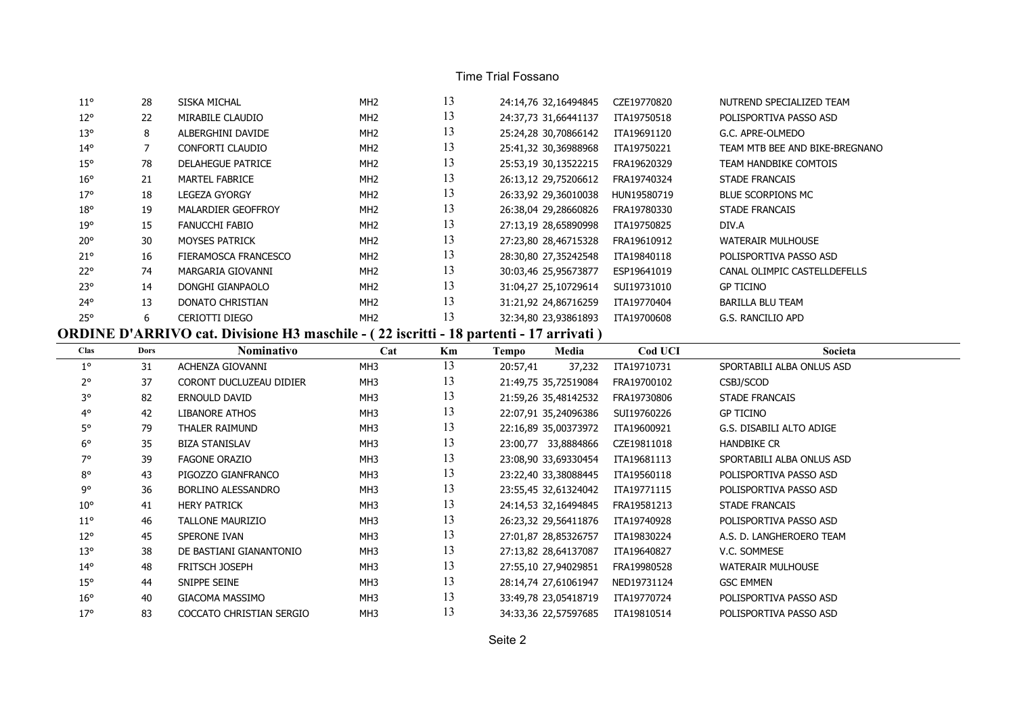#### Time Trial Fossano

| $11^{\circ}$ | 28 | SISKA MICHAL             | MH <sub>2</sub> | 13 | 24:14,76 32,16494845 | CZE19770820 | NUTREND SPECIALIZED TEAM       |
|--------------|----|--------------------------|-----------------|----|----------------------|-------------|--------------------------------|
| $12^{\circ}$ | 22 | MIRABILE CLAUDIO         | MH <sub>2</sub> | 13 | 24:37,73 31,66441137 | ITA19750518 | POLISPORTIVA PASSO ASD         |
| $13^{\circ}$ | 8  | ALBERGHINI DAVIDE        | MH <sub>2</sub> | 13 | 25:24,28 30,70866142 | ITA19691120 | G.C. APRE-OLMEDO               |
| $14^{\circ}$ |    | CONFORTI CLAUDIO         | MH <sub>2</sub> | 13 | 25:41,32 30,36988968 | ITA19750221 | TEAM MTB BEE AND BIKE-BREGNANO |
| $15^{\circ}$ | 78 | <b>DELAHEGUE PATRICE</b> | MH <sub>2</sub> | 13 | 25:53,19 30,13522215 | FRA19620329 | TEAM HANDBIKE COMTOIS          |
| $16^{\circ}$ | 21 | MARTEL FABRICE           | MH <sub>2</sub> | 13 | 26:13,12 29,75206612 | FRA19740324 | <b>STADE FRANCAIS</b>          |
| $17^\circ$   | 18 | <b>LEGEZA GYORGY</b>     | MH <sub>2</sub> | 13 | 26:33,92 29,36010038 | HUN19580719 | BLUE SCORPIONS MC              |
| $18^{\circ}$ | 19 | MALARDIER GEOFFROY       | MH <sub>2</sub> | 13 | 26:38,04 29,28660826 | FRA19780330 | <b>STADE FRANCAIS</b>          |
| 19°          | 15 | FANUCCHI FABIO           | MH <sub>2</sub> | 13 | 27:13,19 28,65890998 | ITA19750825 | DIV.A                          |
| $20^{\circ}$ | 30 | <b>MOYSES PATRICK</b>    | MH <sub>2</sub> | 13 | 27:23,80 28,46715328 | FRA19610912 | <b>WATERAIR MULHOUSE</b>       |
| $21^{\circ}$ | 16 | FIERAMOSCA FRANCESCO     | MH <sub>2</sub> | 13 | 28:30,80 27,35242548 | ITA19840118 | POLISPORTIVA PASSO ASD         |
| $22^{\circ}$ | 74 | MARGARIA GIOVANNI        | MH <sub>2</sub> | 13 | 30:03,46 25,95673877 | ESP19641019 | CANAL OLIMPIC CASTELLDEFELLS   |
| $23^{\circ}$ | 14 | DONGHI GIANPAOLO         | MH <sub>2</sub> | 13 | 31:04,27 25,10729614 | SUI19731010 | <b>GP TICINO</b>               |
| $24^{\circ}$ | 13 | DONATO CHRISTIAN         | MH <sub>2</sub> | 13 | 31:21,92 24,86716259 | ITA19770404 | BARILLA BLU TEAM               |
| 25°          | 6  | CERIOTTI DIEGO           | MH <sub>2</sub> | 13 | 32:34,80 23,93861893 | ITA19700608 | G.S. RANCILIO APD              |

## **ORDINE D'ARRIVO cat. Divisione H3 maschile - ( 22 iscritti - 18 partenti - 17 arrivati )**

| <b>Clas</b>  | <b>Dors</b> | Nominativo               | Cat             | Km | Media<br>Tempo       | Cod UCI     | Societa                   |
|--------------|-------------|--------------------------|-----------------|----|----------------------|-------------|---------------------------|
| $1^{\circ}$  | 31          | ACHENZA GIOVANNI         | MH3             | 13 | 20:57,41<br>37,232   | ITA19710731 | SPORTABILI ALBA ONLUS ASD |
| $2^{\circ}$  | 37          | CORONT DUCLUZEAU DIDIER  | MH3             | 13 | 21:49,75 35,72519084 | FRA19700102 | CSBJ/SCOD                 |
| 3°           | 82          | ERNOULD DAVID            | MH <sub>3</sub> | 13 | 21:59,26 35,48142532 | FRA19730806 | <b>STADE FRANCAIS</b>     |
| $4^{\circ}$  | 42          | LIBANORE ATHOS           | MH3             | 13 | 22:07,91 35,24096386 | SUI19760226 | <b>GP TICINO</b>          |
| 5°           | 79          | THALER RAIMUND           | MH <sub>3</sub> | 13 | 22:16,89 35,00373972 | ITA19600921 | G.S. DISABILI ALTO ADIGE  |
| $6^{\circ}$  | 35          | <b>BIZA STANISLAV</b>    | MH3             | 13 | 23:00,77 33,8884866  | CZE19811018 | <b>HANDBIKE CR</b>        |
| 7°           | 39          | <b>FAGONE ORAZIO</b>     | MH3             | 13 | 23:08,90 33,69330454 | ITA19681113 | SPORTABILI ALBA ONLUS ASD |
| $8^{\circ}$  | 43          | PIGOZZO GIANFRANCO       | MH3             | 13 | 23:22,40 33,38088445 | ITA19560118 | POLISPORTIVA PASSO ASD    |
| 9°           | 36          | BORLINO ALESSANDRO       | MH3             | 13 | 23:55,45 32,61324042 | ITA19771115 | POLISPORTIVA PASSO ASD    |
| $10^{\circ}$ | 41          | <b>HERY PATRICK</b>      | MH3             | 13 | 24:14,53 32,16494845 | FRA19581213 | STADE FRANCAIS            |
| $11^{\circ}$ | 46          | TALLONE MAURIZIO         | MH3             | 13 | 26:23,32 29,56411876 | ITA19740928 | POLISPORTIVA PASSO ASD    |
| $12^{\circ}$ | 45          | SPERONE IVAN             | MH3             | 13 | 27:01,87 28,85326757 | ITA19830224 | A.S. D. LANGHEROERO TEAM  |
| $13^{\circ}$ | 38          | DE BASTIANI GIANANTONIO  | MH3             | 13 | 27:13,82 28,64137087 | ITA19640827 | V.C. SOMMESE              |
| $14^{\circ}$ | 48          | FRITSCH JOSEPH           | MH3             | 13 | 27:55,10 27,94029851 | FRA19980528 | <b>WATERAIR MULHOUSE</b>  |
| $15^{\circ}$ | 44          | SNIPPE SEINE             | MH3             | 13 | 28:14,74 27,61061947 | NED19731124 | <b>GSC EMMEN</b>          |
| $16^{\circ}$ | 40          | GIACOMA MASSIMO          | MH <sub>3</sub> | 13 | 33:49,78 23,05418719 | ITA19770724 | POLISPORTIVA PASSO ASD    |
| $17^\circ$   | 83          | COCCATO CHRISTIAN SERGIO | MH3             | 13 | 34:33,36 22,57597685 | ITA19810514 | POLISPORTIVA PASSO ASD    |